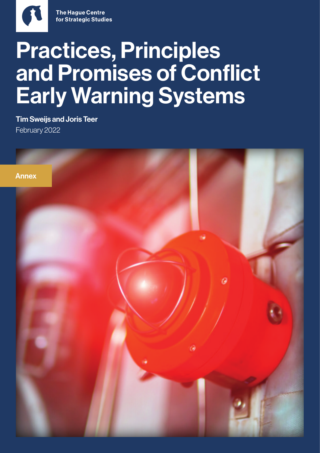

Tim Sweijs and Joris Teer February 2022

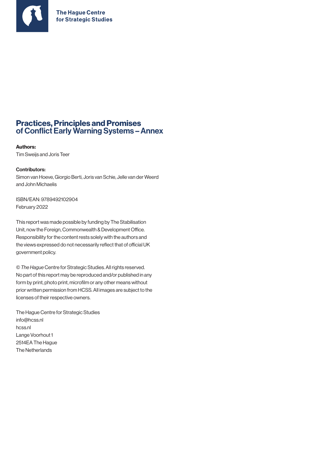

### Practices, Principles and Promises of Conflict Early Warning Systems - Annex

#### Authors:

Tim Sweijs and Joris Teer

#### Contributors:

Simon van Hoeve, Giorgio Berti, Joris van Schie, Jelle van der Weerd and John Michaelis

ISBN/EAN: 9789492102904 February 2022

This report was made possible by funding by The Stabilisation Unit, now the Foreign, Commonwealth & Development Office. Responsibility for the content rests solely with the authors and the views expressed do not necessarily reflect that of official UK government policy.

© *The Hague* Centre for Strategic Studies. All rights reserved. No part of this report may be reproduced and/or published in any form by print, photo print, microfilm or any other means without prior written permission from HCSS. All images are subject to the licenses of their respective owners.

The Hague Centre for Strategic Studies [info@hcss.nl](mailto:info@hcss.nl) hcss.nl Lange Voorhout 1 2514EA The Hague The Netherlands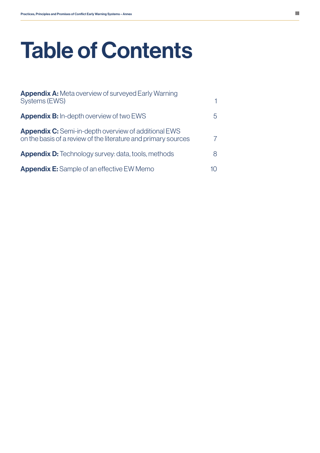# Table of Contents

| <b>Appendix A:</b> Meta overview of surveyed Early Warning<br><b>Systems (EWS)</b>                                            |   |
|-------------------------------------------------------------------------------------------------------------------------------|---|
| <b>Appendix B:</b> In-depth overview of two EWS                                                                               | h |
| <b>Appendix C:</b> Semi-in-depth overview of additional EWS<br>on the basis of a review of the literature and primary sources |   |
| <b>Appendix D:</b> Technology survey: data, tools, methods                                                                    | 8 |
| <b>Appendix E:</b> Sample of an effective EW Memo                                                                             |   |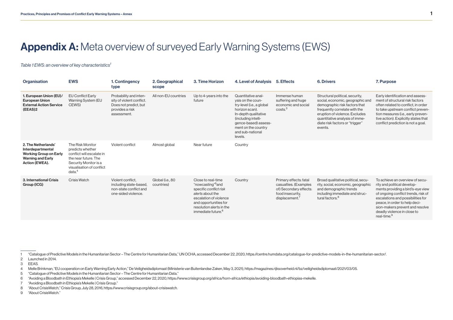### <span id="page-3-0"></span>Appendix A: Meta overview of surveyed Early Warning Systems (EWS)

#### *Table 1 EWS: an overview of key characteristics<sup>1</sup>*

| Organisation                                                                                                            | <b>EWS</b>                                                                                                                                                           | 1. Contingency<br>type                                                                                         | 2. Geographical<br>scope       | 3. Time Horizon                                                                                                                                                                                                    | 4. Level of Analysis 5. Effects                                                                                                                                                                                     |                                                                                                                | <b>6. Drivers</b>                                                                                                                                                                                                                                       | 7. Purpose                                                                                                                                                                                                                                                                                                    |
|-------------------------------------------------------------------------------------------------------------------------|----------------------------------------------------------------------------------------------------------------------------------------------------------------------|----------------------------------------------------------------------------------------------------------------|--------------------------------|--------------------------------------------------------------------------------------------------------------------------------------------------------------------------------------------------------------------|---------------------------------------------------------------------------------------------------------------------------------------------------------------------------------------------------------------------|----------------------------------------------------------------------------------------------------------------|---------------------------------------------------------------------------------------------------------------------------------------------------------------------------------------------------------------------------------------------------------|---------------------------------------------------------------------------------------------------------------------------------------------------------------------------------------------------------------------------------------------------------------------------------------------------------------|
| 1. European Union (EU)/<br><b>European Union</b><br><b>External Action Service</b><br>(EEAS)2                           | <b>EU Conflict Early</b><br>Warning System (EU<br>CEWS)                                                                                                              | Probability and inten-<br>sity of violent conflict.<br>Does not predict, but<br>provides a risk<br>assessment. | All non-EU countries           | Up to 4-years into the<br>future                                                                                                                                                                                   | Quantitative anal-<br>ysis on the coun-<br>try-level (i.e., a global<br>horizon scan).<br>In-depth qualitative<br>(including intelli-<br>gence-based) assess-<br>ment on the country<br>and sub-national<br>levels. | Immense human<br>suffering and huge<br>economic and social<br>costs <sup>3</sup>                               | Structural political, security,<br>social, economic, geographic and<br>demographic risk factors that<br>frequently correlate with the<br>eruption of violence. Excludes<br>quantitative analysis of imme-<br>diate risk factors or "trigger"<br>events. | Early identification and assess-<br>ment of structural risk factors<br>often related to conflict, in order<br>to take upstream conflict preven-<br>tion measures (i.e., early preven-<br>tive action). Explicitly states that<br>conflict prediction is not a goal.                                           |
| 2. The Netherlands'<br>Interdepartmental<br><b>Working Group on Early</b><br><b>Warning and Early</b><br>Action (EWEA). | The Risk Monitor<br>predicts whether<br>conflict will escalate in<br>the near future. The<br>Security Monitor is a<br>visualisation of conflict<br>data <sup>4</sup> | Violent conflict                                                                                               | Almost global                  | Near future                                                                                                                                                                                                        | Country                                                                                                                                                                                                             |                                                                                                                |                                                                                                                                                                                                                                                         |                                                                                                                                                                                                                                                                                                               |
| 3. International Crisis<br>Group (ICG)                                                                                  | <b>Crisis Watch</b>                                                                                                                                                  | Violent conflict,<br>including state-based.<br>non-state conflict and<br>one-sided violence.                   | Global (i.e., 80<br>countries) | Close to real-time<br>"nowcasting" <sup>5</sup> and<br>specific conflict risk<br>alerts about the<br>escalation of violence<br>and opportunities for<br>resolution alerts in the<br>immediate future. <sup>6</sup> | Country                                                                                                                                                                                                             | Primary effects: fatal<br>casualties. (Examples<br>of) Secondary effects:<br>food insecurity,<br>displacement. | Broad qualitative political, secu-<br>rity, social, economic, geographic<br>and demographic trends<br>including immediate and struc-<br>tural factors. <sup>8</sup>                                                                                     | To achieve an overview of secu-<br>rity and political develop-<br>ments providing a bird's-eye view<br>of ongoing conflict trends, risk of<br>escalations and possibilities for<br>peace, in order to help deci-<br>sion-makers prevent and resolve<br>deadly violence in close to<br>real-time. <sup>9</sup> |

1 "Catalogue of Predictive Models in the Humanitarian Sector – The Centre for Humanitarian Data," UN OCHA, accessed December 22, 2020, https://centre.humdata.org/catalogue-for-predictive-models-in-the-humanitarian-sector/.

2 Launched in 2014.

3 EEAS.

- 5 "Catalogue of Predictive Models in the Humanitarian Sector The Centre for Humanitarian Data."
- 6 "Avoiding a Bloodbath in Ethiopia's Mekelle | Crisis Group," accessed December 22, 2020, https://www.crisisgroup.org/africa/horn-africa/ethiopia/avoiding-bloodbath-ethiopias-mekelle.
- 7 "Avoiding a Bloodbath in Ethiopia's Mekelle | Crisis Group."
- 8 "About CrisisWatch," Crisis Group, July 28, 2016, https://www.crisisgroup.org/about-crisiswatch.
- 9 "About CrisisWatch."

<sup>4</sup> Melle Brinkman, "EU cooperation on Early Warning Early Action," De Veiligheidsdiplomaat (Ministerie van Buitenlandse Zaken, May 3, 2021), https://magazines.rijksoverheid.nl/bz/veiligheidsdiplomaat/2021/03/05.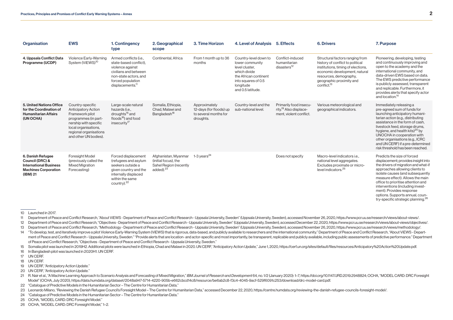| Organisation                                                                                                     | <b>EWS</b>                                                                                                                                                                                    | 1. Contingency<br>type                                                                                                                                                      | 2. Geographical<br>scope                                                                        | 3. Time Horizon                                                                | 4. Level of Analysis                                                                                                                                         | 5. Effects                                                                              | <b>6. Drivers</b>                                                                                                                                                                                                           | 7. Purpose                                                                                                                                                                                                                                                                                                                                                                                                      |
|------------------------------------------------------------------------------------------------------------------|-----------------------------------------------------------------------------------------------------------------------------------------------------------------------------------------------|-----------------------------------------------------------------------------------------------------------------------------------------------------------------------------|-------------------------------------------------------------------------------------------------|--------------------------------------------------------------------------------|--------------------------------------------------------------------------------------------------------------------------------------------------------------|-----------------------------------------------------------------------------------------|-----------------------------------------------------------------------------------------------------------------------------------------------------------------------------------------------------------------------------|-----------------------------------------------------------------------------------------------------------------------------------------------------------------------------------------------------------------------------------------------------------------------------------------------------------------------------------------------------------------------------------------------------------------|
| 4. Uppsala Conflict Data<br>Programme (UCDP)                                                                     | Violence Early-Warning<br>System (ViEWS) <sup>10</sup>                                                                                                                                        | Armed conflicts (i.e.,<br>state-based conflict).<br>violence against<br>civilians and between<br>non-state actors, and<br>forced population<br>displacements. <sup>11</sup> | Continental, Africa                                                                             | From 1 month up to 36<br>months                                                | Country-level down to<br>lower community<br>level cluster.<br>which divide<br>the African continent<br>into squares of 0.5<br>longitude<br>and 0.5 latitude. | Conflict-induced<br>humanitarian<br>disasters <sup>12</sup>                             | Structural factors ranging from<br>history of conflict to political<br>institutions, timing of elections,<br>economic development, natural<br>resources, demography,<br>geographic proximity and<br>conflict. <sup>13</sup> | Pioneering, developing, testing<br>and continuously improving and<br>open to the academy and the<br>international community, and<br>data-driven EWS based on data.<br>The EWS predictive performance<br>is publicly assessed, transparent<br>and replicable. Furthermore, it<br>provides alerts that specify actor<br>and location. <sup>14</sup>                                                               |
| <b>5. United Nations Office</b><br>for the Coordination of<br><b>Humanitarian Affairs</b><br>(UN OCHA)           | Country-specific<br><b>Anticipatory Action</b><br>Framework pilot<br>programmes (in part-<br>nership with specific<br>local organisations,<br>regional organisations<br>and other UN bodies). | Large-scale natural<br>hazards (i.e.,<br>droughts <sup>15</sup> and<br>floods <sup>16</sup> ) and food<br>insecurity <sup>17</sup>                                          | Somalia, Ethiopia,<br>Chad. Malawi and<br>Bangladesh <sup>18</sup>                              | Approximately<br>12-days (for floods) up<br>to several months for<br>droughts. | Country-level and the<br>sub-national level.                                                                                                                 | Primarily food insecu-<br>rity. <sup>19</sup> Also displace-<br>ment. violent conflict. | Various meteorological and<br>geographical indicators.                                                                                                                                                                      | Immediately releasing a<br>pre-agreed sum of funds for<br>launching anticipatory humani-<br>tarian action (e.g., distributing<br>assistance in the form of cash.<br>livestock feed, storage drums,<br>hygiene, and health kits) <sup>20</sup> by<br>UNOCHA in cooperation with<br>other organisations (e.g., ICRC<br>and UN CERF) if a pre-determined<br>risk threshold has been reached.                       |
| 6. Danish Refugee<br>Council (DRC) &<br><b>International Business</b><br><b>Machines Corporation</b><br>(IBM) 21 | Foresight Model<br>(previously called the<br><b>Mixed Migration</b><br>Forecasting)                                                                                                           | Forced displacement<br>(refugees and asylum<br>seekers outside a<br>given country and the<br>internally displaced<br>within the same<br>country). <sup>22</sup>             | Afghanistan, Myanmar<br>(initial focus), the<br>Sahel Region (recently<br>added). <sup>23</sup> | 1-3 years $^{24}$                                                              |                                                                                                                                                              | Does not specify                                                                        | Macro-level indicators i.e<br>national level aggregates.<br>Excludes proximate or micro-<br>level indicators. <sup>25</sup>                                                                                                 | Predicts the size of forced<br>displacement; provides insight into<br>the drivers of migration and what-if<br>approaches allowing clients to<br>isolate causes (and subsequently<br>measure effect). Allows the main<br>office to prioritise attention and<br>interventions (including invest-<br>ment). Provides response<br>options. Supports annual, coun-<br>try-specific strategic planning. <sup>26</sup> |

<sup>10</sup> Launched in 2017.

- 11 Department of Peace and Conflict Research, "About ViEWS Department of Peace and Conflict Research Uppsala University, Sweden" (Uppsala University, Sweden), accessed November 26, 2020, https://www.pcr.uu.se/research/
- 12 Department of Peace and Conflict Research, "Objectives Department of Peace and Conflict Research Uppsala University, Sweden" (Uppsala University, Sweden), accessed December 22, 2020, https://www.pcr.uu.se/research/v
- 13 Department of Peace and Conflict Research, "Methodology Department of Peace and Conflict Research Uppsala University, Sweden" (Uppsala University, Sweden), accessed November 26, 2020, https://www.pcr.uu.se/research/
- 14 "To develop, test, and iteratively improve a pilot Violence Early-Warning System (ViEWS) that is rigorous, data-based, and publicly available to researchers and the international community." Department of Peace and Conf ment of Peace and Conflict Research - Uppsala University, Sweden." "Provide alerts that are location- and actor-specific and most importantly, be transparent, replicable and publicly available, including public assessments of Peace and Conflict Research, "Objectives - Department of Peace and Conflict Research - Uppsala University, Sweden."

15 Somalia pilot was launched in 2019H2. Additional pilots were launched in Ethiopia, Chad and Malawi in 2020. UN CERF, "Anticipatory Action Update," June 1, 2020, https://cerf.un.org/sites/default/files/resources/Anticipa

16 In Bangladesh pilot was launched in 2020H1. UN CERF.

17 UN CERF.

18 UN CERF.

19 UN CERF, "Anticipatory Action Update."

20 UN CERF, "Anticipatory Action Update."

22 "Catalogue of Predictive Models in the Humanitarian Sector – The Centre for Humanitarian Data."

23 Leonardo Milano, "Reviewing the Danish Refugee Council's Foresight Model – The Centre for Humanitarian Data," accessed December 22, 2020, https://centre.humdata.org/reviewing-the-danish-refugee-councils-foresight-model/

24 "Catalogue of Predictive Models in the Humanitarian Sector – The Centre for Humanitarian Data."

25 OCHA, "MODEL CARD: DRC Foresight Model."

26 OCHA, "MODEL CARD: DRC Foresight Model," 1–2.

<sup>21</sup> R. Nair et al., "A Machine Learning Approach to Scenario Analysis and Forecasting of Mixed Migration," IBM Journal of Research and Development 64, no. 1/2 (January 2020): 1-7, https://doi.org/10.1147/JRD.2019.2948824; O Model" (OCHA, July 2020), https://data.humdata.org/dataset/2048a947-5714-4220-905b-e662cbcd14c8/resource/be6ab2c8-f3c4-4045-9acf-529f6091c253/download/drc-model-card.pdf.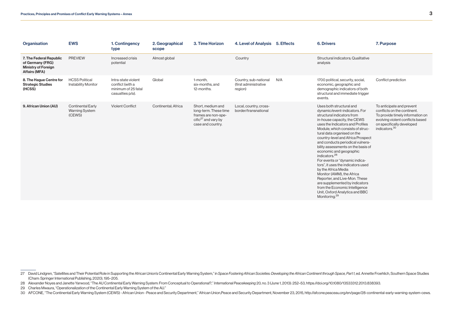| Organisation                                                                                      | <b>EWS</b>                                                  | 1. Contingency<br>type                                                             | 2. Geographical<br>scope | 3. Time Horizon                                                                                                  | 4. Level of Analysis 5. Effects                            |     | <b>6. Drivers</b>                                                                                                                                                                                                                                                                                                                                                                                                                                                                                                                                                                                                                                                                                    | 7. Purpose                                                                                                                                                                                 |
|---------------------------------------------------------------------------------------------------|-------------------------------------------------------------|------------------------------------------------------------------------------------|--------------------------|------------------------------------------------------------------------------------------------------------------|------------------------------------------------------------|-----|------------------------------------------------------------------------------------------------------------------------------------------------------------------------------------------------------------------------------------------------------------------------------------------------------------------------------------------------------------------------------------------------------------------------------------------------------------------------------------------------------------------------------------------------------------------------------------------------------------------------------------------------------------------------------------------------------|--------------------------------------------------------------------------------------------------------------------------------------------------------------------------------------------|
| 7. The Federal Republic<br>of Germany (FRG)<br><b>Ministry of Foreign</b><br><b>Affairs (MFA)</b> | <b>PREVIEW</b>                                              | Increased crisis<br>potential                                                      | Almost global            |                                                                                                                  | Country                                                    |     | Structural indicators: Qualitative<br>analysis                                                                                                                                                                                                                                                                                                                                                                                                                                                                                                                                                                                                                                                       |                                                                                                                                                                                            |
| 8. The Hague Centre for<br><b>Strategic Studies</b><br>(HCSS)                                     | <b>HCSS Political</b><br><b>Instability Monitor</b>         | Intra-state violent<br>conflict (with a<br>minimum of 25 fatal<br>casualties p/a). | Global                   | 1-month,<br>six-months, and<br>12-months.                                                                        | Country, sub-national<br>(first administrative)<br>region) | N/A | 1700 political, security, social,<br>economic, geographic and<br>demographic indicators of both<br>structural and immediate trigger<br>events.                                                                                                                                                                                                                                                                                                                                                                                                                                                                                                                                                       | Conflict prediction                                                                                                                                                                        |
| 9. African Union (AU)                                                                             | <b>Continental Early</b><br><b>Warning System</b><br>(CEWS) | <b>Violent Conflict</b>                                                            | Continental: Africa      | Short, medium and<br>long-term. These time<br>frames are non-spe-<br>cific $27$ and vary by<br>case and country. | Local, country, cross-<br>border/transnational             |     | Uses both structural and<br>dynamic/event-indicators. For<br>structural indicators from<br>in-house capacity, the CEWS<br>uses the Indicators and Profiles<br>Module, which consists of struc-<br>tural data organised on the<br>country-level and Africa Prospect<br>and conducts periodical vulnera-<br>bility assessments on the basis of<br>economic and geographic<br>indicators. <sup>28</sup><br>For events or "dynamic indica-<br>tors", it uses the indicators used<br>by the Africa Media<br>Monitor (AMM), the Africa<br>Reporter, and Live-Mon. These<br>are supplemented by indicators<br>from the Economic Intelligence<br>Unit, Oxford Analytica and BBC<br>Monitoring. <sup>29</sup> | To anticipate and prevent<br>conflicts on the continent.<br>To provide timely information on<br>evolving violent conflicts based<br>on specifically developed<br>indicators. <sup>30</sup> |

<sup>27</sup> David Lindgren, "Satellites and Their Potential Role in Supporting the African Union's Continental Early Warning System," in Space Fostering African Societies: Developing the African Continent through Space, Part 1, ed. (Cham: Springer International Publishing, 2020), 195–205.

<sup>28</sup> Alexander Noyes and Janette Yarwood, "The AU Continental Early Warning System: From Conceptual to Operational?," International Peacekeeping 20, no. 3 (June 1, 2013): 252-53, https://doi.org/10.1080/13533312.2013.838393.

<sup>29</sup> Charles Mwaura, "Operationalization of the Continental Early Warning System of the AU."

<sup>30</sup> AFCONE, "The Continental Early Warning System (CEWS) - African Union - Peace and Security Department," African Union, Peace and Security Department, November 23, 2015, http://afcone.peaceau.org/en/page/28-continental-ea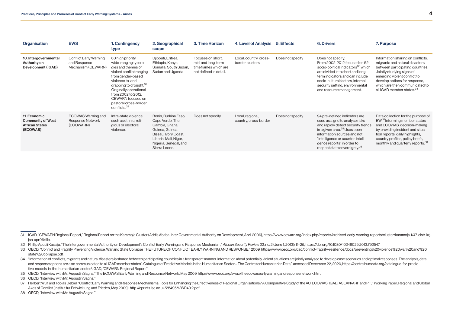| Organisation                                                                  | <b>EWS</b>                                                          | 1. Contingency<br>type                                                                                                                                                                                                                                                                              | 2. Geographical<br>scope                                                                                                                                                | 3. Time Horizon                                                                          | 4. Level of Analysis                      | 5. Effects       | <b>6. Drivers</b>                                                                                                                                                                                                                                                                                | 7. Purpose                                                                                                                                                                                                                                                                       |
|-------------------------------------------------------------------------------|---------------------------------------------------------------------|-----------------------------------------------------------------------------------------------------------------------------------------------------------------------------------------------------------------------------------------------------------------------------------------------------|-------------------------------------------------------------------------------------------------------------------------------------------------------------------------|------------------------------------------------------------------------------------------|-------------------------------------------|------------------|--------------------------------------------------------------------------------------------------------------------------------------------------------------------------------------------------------------------------------------------------------------------------------------------------|----------------------------------------------------------------------------------------------------------------------------------------------------------------------------------------------------------------------------------------------------------------------------------|
| 10. Intergovernmental<br>Authority on<br>Development (IGAD)                   | <b>Conflict Early Warning</b><br>and Response<br>Mechanism (CEWARN) | 60 high priority<br>wide-ranging typolo-<br>gies and themes of<br>violent conflict ranging<br>from gender-based<br>violence to land<br>grabbing to drought. <sup>31</sup><br>Originally operational<br>from 2002 to 2012.<br>CEWARN focused on<br>pastoral cross-border<br>conflicts. <sup>32</sup> | Djibouti, Eritrea,<br>Ethiopia, Kenya,<br>Somalia, South Sudan,<br>Sudan and Uganda                                                                                     | Focuses on short,<br>mid-and long-term<br>timeframes which are<br>not defined in detail. | Local, country, cross-<br>border clusters | Does not specify | Does not specify.<br>From 2002-2012 focused on 52<br>socio-political indicators <sup>33</sup> which<br>are divided into short and long-<br>term indicators and can include<br>socio-cultural factors, internal<br>security setting, environmental<br>and resource management.                    | Information sharing on conflicts,<br>migrants and natural disasters<br>between participating countries.<br>Jointly studying signs of<br>emerging violent conflict to<br>develop options for response,<br>which are then communicated to<br>all IGAD member states. <sup>34</sup> |
| 11. Economic<br><b>Community of West</b><br><b>African States</b><br>(ECOWAS) | ECOWAS Warning and<br>Response Network<br>(ECOWARN)                 | Intra-state violence<br>such as ethnic, reli-<br>gious or electoral<br>violence.                                                                                                                                                                                                                    | Benin, Burkina Faso,<br>Cape Verde, The<br>Gambia, Ghana,<br>Guinea, Guinea-<br>Bissau, Ivory Coast,<br>Liberia, Mali, Niger,<br>Nigeria, Senegal, and<br>Sierra Leone. | Does not specify                                                                         | Local, regional,<br>country, cross-border | Does not specify | 94 pre-defined indicators are<br>used as a grid to analyse risks<br>and rapidly detect security trends<br>in a given area. <sup>35</sup> Uses open<br>information sources and not<br>"intelligence or counter-intelli-<br>gence reports" in order to<br>respect state sovereignty. <sup>36</sup> | Data collection for the purpose of<br>EW. <sup>37</sup> Informing member states<br>and ECOWAS' decision-making<br>by providing incident and situa-<br>tion reports, daily highlights,<br>country profiles, policy briefs,<br>monthly and quarterly reports. <sup>38</sup>        |

- 32 Phillip Apuuli Kasaiia. "The Intergovernmental Authority on Development's Conflict Early Warning and Response Mechanism." African Security Review 22. no. 2 (June 1.2013): 11-25. https://doi.org/10.1080/10246029.2013.792
- 33 OECD. "Conflict and Fragility Preventing Violence, War and State Collapse THE FUTURE OF CONFLICT EARLY WARNING AND RESPONSE." 2009. https://www.oecd.org/dac/conflict-fragility-resilience/docs/preventing%20violence%20war state%20collapse.pdf.
- 34 "Information of conflicts, migrants and natural disasters is shared between participating countries in a transparent manner. Information about potentially violent situations are jointly analysed to develop case scenario and response options are also communicated to all IGAD member states". Catalogue of Predictive Models in the Humanitarian Sector - The Centre for Humanitarian Data." accessed December 22, 2020, https://centre.humdata.org/c [tive-models-in-the-humanitarian-sector/](https://centre.humdata.org/catalogue-for-predictive-models-in-the-humanitarian-sector/).IGAD, "CEWARN Regional Report."
- 35 OECD, "Interview with Mr. Augustin Sagna," The ECOWAS Early Warning and Response Network, May 2009, http://www.oecd.org/swac/theecowasearlywarningandresponsenetwork.htm.

36 OECD "Interview with Mr Augustin Sagna."

- 37 Herbert Wulf and Tobias Debiel. "Conflict Early Warning and Response Mechanisms: Tools for Enhancing the Effectiveness of Regional Organisations? A Comparative Study of the AU, ECOWAS, IGAD, ASEAN/ARF and PIF," Working Axes of Conflict (Institut fur Entwicklung und Frieden, May 2009), http://eprints.lse.ac.uk/28495/1/WP49.2.pdf.
- 38 OECD, "Interview with Mr. Augustin Sagna."

<sup>31</sup> IGAD. "CEWARN Regional Report." Regional Report on the Karamoja Cluster (Addis Ababa: Inter Governmental Authority on Development, April 2006), https://www.cewarn.org/index.php/reports/archived-early-warning-reports/clu ian-apr06/file.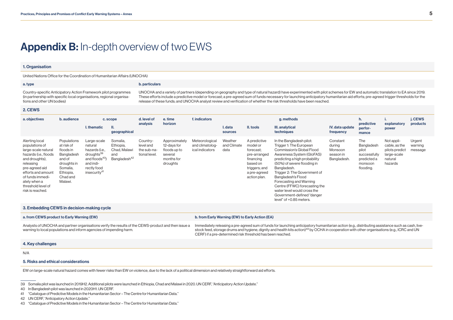### <span id="page-7-0"></span>Appendix B: In-depth overview of two EWS

#### 1. Organisation

United Nations Office for the Coordination of Humanitarian Affairs (UNOCHA)

#### a. type **b.** particulars

Country-specific Anticipatory Action Framework pilot programmes (in partnership with specific local organisations, regional organisations and other UN bodies)

UNOCHA and a variety of partners (depending on geography and type of natural hazard) have experimented with pilot schemes for EW and automatic translation to EA since 2019. These efforts include a predictive model or forecast; a pre-agreed sum of funds necessary for launching anticipatory humanitarian aid efforts; pre-agreed trigger thresholds for the release of these funds; and UNOCHA analyst review and verification of whether the risk thresholds have been reached.

#### 2. CEWS

| a. objectives                                                                                                                                                                                                                         | b. audience                                                                                                                   | c. scope                                                                                                                                                 |                                                                          | d. level of<br>analysis                               | e. time<br>horizon                                                                | f. indicators                                        | g. methods                     |                                                                                                                                 |                                                                                                                                                                                                                                                                                                                                                                                                        |                                                           | h.<br>predictive                                                                  | explanatory                                                                        | j. CEWS<br>products          |
|---------------------------------------------------------------------------------------------------------------------------------------------------------------------------------------------------------------------------------------|-------------------------------------------------------------------------------------------------------------------------------|----------------------------------------------------------------------------------------------------------------------------------------------------------|--------------------------------------------------------------------------|-------------------------------------------------------|-----------------------------------------------------------------------------------|------------------------------------------------------|--------------------------------|---------------------------------------------------------------------------------------------------------------------------------|--------------------------------------------------------------------------------------------------------------------------------------------------------------------------------------------------------------------------------------------------------------------------------------------------------------------------------------------------------------------------------------------------------|-----------------------------------------------------------|-----------------------------------------------------------------------------------|------------------------------------------------------------------------------------|------------------------------|
|                                                                                                                                                                                                                                       |                                                                                                                               | I. thematic                                                                                                                                              | geographical                                                             |                                                       |                                                                                   | I. data<br>sources                                   | II. tools                      | III. analytical<br>techniques                                                                                                   | IV. data update<br>frequency                                                                                                                                                                                                                                                                                                                                                                           | perfor-<br>mance                                          | power                                                                             |                                                                                    |                              |
| Alerting local<br>populations of<br>large-scale natural<br>hazards (i.e., floods<br>and droughts),<br>releasing<br>pre-agreed aid<br>efforts and amount<br>of funds immedi-<br>ately when a<br>threshold level of<br>risk is reached. | Populations<br>at risk of<br>floods in<br>Bangladesh<br>and of<br>droughts in<br>Somalia,<br>Ethiopia,<br>Chad and<br>Malawi. | Large-scale<br>natural<br>hazards (i.e.,<br>droughts <sup>39</sup><br>and floods <sup>40</sup> )<br>and indi-<br>rectly food<br>insecurity <sup>41</sup> | Somalia,<br>Ethiopia,<br>Chad, Malawi<br>and<br>Bangladesh <sup>42</sup> | Country-<br>level and<br>the sub-na-<br>tional level. | Approximately<br>12-days for<br>floods up to<br>several<br>months for<br>droughts | Meteorological<br>and climatolog-<br>ical indicators | Weather<br>and Climate<br>data | A predictive<br>model or<br>forecast;<br>pre-arranged<br>financing<br>based on<br>triggers; and<br>a pre-agreed<br>action plan. | In the Bangladesh pilot:<br>Trigger 1: The European<br>Commission's Global Flood<br>Awareness System (GloFAS)<br>predicting a high probability<br>(50%) of severe flooding in<br>Bangladesh.<br>Trigger 2: The Government of<br>Bangladesh's Flood<br>Forecasting and Warning<br>Centre (FFWC) forecasting the<br>water level would cross the<br>Government-defined "danger<br>level" of +0.85 meters. | Constant<br>during<br>Monsoon<br>season in<br>Bangladesh. | The<br>Bangladesh<br>pilot<br>successfully<br>predicted a<br>monsoon<br>flooding. | Not appli-<br>cable, as the<br>pilots predict<br>large-scale<br>natural<br>hazards | Urgent<br>warning<br>message |

#### 3. Embedding CEWS in decision-making cycle

#### a. from CEWS product to Early Warning (EW) **b.** from Early Warning (EW) to Early Action (EA)

Analysts of UNOCHA and partner organisations verify the results of the CEWS-product and then issue a warning to local populations and inform agencies of impending harm. Immediately releasing a pre-agreed sum of funds for launching anticipatory humanitarian action (e.g., distributing assistance such as cash, livestock feed, storage drums and hygiene, dignity and health kits action)<sup>43</sup> by OCHA in cooperation with other organisations (e.g., ICRC and UN CERF) if a pre-determined risk threshold has been reached.

#### 4. Key challenges

N/A

#### 5. Risks and ethical considerations

EW on large-scale natural hazard comes with fewer risks than EW on violence, due to the lack of a political dimension and relatively straightforward aid efforts.

39 Somalia pilot was launched in 2019H2. Additional pilots were launched in Ethiopia, Chad and Malawi in 2020. UN CERF, "Anticipatory Action Update."

<sup>40</sup> In Bangladesh pilot was launched in 2020H1. UN CERF.

<sup>41</sup> "Catalogue of Predictive Models in the Humanitarian Sector – The Centre for Humanitarian Data."

<sup>42</sup> UN CERF, "Anticipatory Action Update."

<sup>43</sup> "Catalogue of Predictive Models in the Humanitarian Sector – The Centre for Humanitarian Data."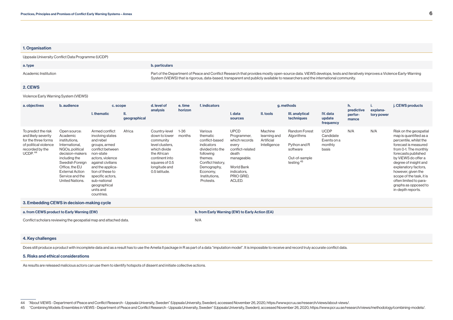#### 1. Organisation

Uppsala University Conflict Data Programme (UCDP)

| a. type              | <b>b.</b> particulars                                                                                                                                                                                                                                                                                   |
|----------------------|---------------------------------------------------------------------------------------------------------------------------------------------------------------------------------------------------------------------------------------------------------------------------------------------------------|
| Academic Institution | Part of the Department of Peace and Conflict Research that provides mostly open-source data. ViEWS develops, tests and iteratively improves a Violence Early-Warning<br>System (ViEWS) that is rigorous, data-based, transparent and publicly available to researchers and the international community. |

#### 2. CEWS

Violence Early Warning System (VIEWS)

| a. objectives                                                                                                                        | b. audience                                                                                                                                                                                                             | c. scope                                                                                                                                                                                                                                                          | d. level of<br>e. time<br>horizon<br>analysis | f. indicators                                                                                                                                                       | g. methods         |                                                                                                                                                                               |                                                                                                                                                       |                                                       | h.<br>predictive                                                                         | explana-                                                    | j. CEWS products |            |                                                                                                                                                                                                                                                                                                                                                     |
|--------------------------------------------------------------------------------------------------------------------------------------|-------------------------------------------------------------------------------------------------------------------------------------------------------------------------------------------------------------------------|-------------------------------------------------------------------------------------------------------------------------------------------------------------------------------------------------------------------------------------------------------------------|-----------------------------------------------|---------------------------------------------------------------------------------------------------------------------------------------------------------------------|--------------------|-------------------------------------------------------------------------------------------------------------------------------------------------------------------------------|-------------------------------------------------------------------------------------------------------------------------------------------------------|-------------------------------------------------------|------------------------------------------------------------------------------------------|-------------------------------------------------------------|------------------|------------|-----------------------------------------------------------------------------------------------------------------------------------------------------------------------------------------------------------------------------------------------------------------------------------------------------------------------------------------------------|
|                                                                                                                                      |                                                                                                                                                                                                                         | I. thematic                                                                                                                                                                                                                                                       | Ш.<br>geographical                            |                                                                                                                                                                     |                    |                                                                                                                                                                               | I. data<br>sources                                                                                                                                    | II. tools                                             | III. analytical<br>techniques                                                            | IV. data<br>update<br>frequency                             | perfor-<br>mance | tory power |                                                                                                                                                                                                                                                                                                                                                     |
| To predict the risk<br>and likely severity<br>for the three forms<br>of political violence<br>recorded by the<br>UCDP. <sup>44</sup> | Open source:<br>Academic<br>institutions,<br>International,<br>NGOs, political<br>decision-makers<br>including the<br>Swedish Foreign<br>Office, the EU<br><b>External Action</b><br>Service and the<br>United Nations. | Armed conflict<br>involving states<br>and rebel<br>groups, armed<br>conflict between<br>non-state<br>actors, violence<br>against civilians<br>and the applica-<br>tion of these to<br>specific actors,<br>sub-national<br>geographical<br>units and<br>countries. | Africa                                        | Country-level<br>down to lower<br>community<br>level clusters,<br>which divide<br>the African<br>continent into<br>squares of 0.5<br>longitude and<br>0.5 latitude. | $1 - 36$<br>months | Various<br>thematic<br>conflict-based<br>indicators<br>divided into the<br>following<br>themes:<br>Conflict history,<br>Demography,<br>Economy,<br>Institutions,<br>Protests. | <b>UPCD</b><br>Programmer,<br>which records<br>every<br>conflict-related<br>death<br>manageable.<br>World Bank<br>indicators,<br>PRIO GRID,<br>ACLED. | Machine<br>learning and<br>Artificial<br>Intelligence | Random Forest<br>Algorithms<br>Python and R<br>software<br>Out-of-sample<br>testing $45$ | <b>UCDP</b><br>Candidate<br>Events on a<br>monthly<br>basis | N/A              | N/A        | Risk on the geospatial<br>map is quantified as a<br>percentile, whilst the<br>forecast is measured<br>from 0-1. The monthly<br>forecasts published<br>by ViEWS do offer a<br>degree of insight and<br>explanatory factors,<br>however, given the<br>scope of the task, it is<br>often limited to para-<br>graphs as opposed to<br>in-depth reports. |
|                                                                                                                                      | 3. Embedding CEWS in decision-making cycle                                                                                                                                                                              |                                                                                                                                                                                                                                                                   |                                               |                                                                                                                                                                     |                    |                                                                                                                                                                               |                                                                                                                                                       |                                                       |                                                                                          |                                                             |                  |            |                                                                                                                                                                                                                                                                                                                                                     |
| a. from CEWS product to Early Warning (EW)                                                                                           |                                                                                                                                                                                                                         |                                                                                                                                                                                                                                                                   |                                               |                                                                                                                                                                     |                    |                                                                                                                                                                               | b. from Early Warning (EW) to Early Action (EA)                                                                                                       |                                                       |                                                                                          |                                                             |                  |            |                                                                                                                                                                                                                                                                                                                                                     |

Conflict scholars reviewing the geospatial map and attached data. Next New MIT NOT NOT NOT NOT A SET OF THE SCHOOL OF THE SCHOOL OF THE SCHOOL OF THE SCHOOL OF THE SCHOOL OF THE SCHOOL OF THE SCHOOL OF THE SCHOOL OF THE SC

#### 4. Key challenges

Does still produce a product with incomplete data and as a result has to use the Amelia II package in R as part of a data "imputation model". It is impossible to receive and record truly accurate conflict data.

#### 5. Risks and ethical considerations

As results are released malicious actors can use them to identify hotspots of dissent and initiate collective actions.

44 "About ViEWS - Department of Peace and Conflict Research - Uppsala University, Sweden" (Uppsala University, Sweden), accessed November 26, 2020, https://www.pcr.uu.se/research/views/about-views/.

45 "Combining Models: Ensembles in ViEWS - Department of Peace and Conflict Research - Uppsala University, Sweden" (Uppsala University, Sweden), accessed November 26, 2020, https://www.pcr.uu.se/research/views/methodology/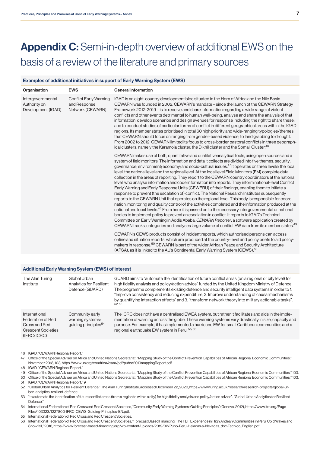# <span id="page-9-0"></span>Appendix C: Semi-in-depth overview of additional EWS on the basis of a review of the literature and primary sources

#### Examples of additional initiatives in support of Early Warning System (EWS)

| Organisation                                            | <b>EWS</b>                                                        | <b>General information</b>                                                                                                                                                                                                                                                                                                                                                                                                                                                                                                                                                                                                                                                                                                                                                                                                                                                                                                                                                                                                                                                                                                                                                                                                                                                                                                                                                                                                                                                                                                                                                                                                                                                                                                                                                                                                                                                                                                               |
|---------------------------------------------------------|-------------------------------------------------------------------|------------------------------------------------------------------------------------------------------------------------------------------------------------------------------------------------------------------------------------------------------------------------------------------------------------------------------------------------------------------------------------------------------------------------------------------------------------------------------------------------------------------------------------------------------------------------------------------------------------------------------------------------------------------------------------------------------------------------------------------------------------------------------------------------------------------------------------------------------------------------------------------------------------------------------------------------------------------------------------------------------------------------------------------------------------------------------------------------------------------------------------------------------------------------------------------------------------------------------------------------------------------------------------------------------------------------------------------------------------------------------------------------------------------------------------------------------------------------------------------------------------------------------------------------------------------------------------------------------------------------------------------------------------------------------------------------------------------------------------------------------------------------------------------------------------------------------------------------------------------------------------------------------------------------------------------|
| Intergovernmental<br>Authority on<br>Development (IGAD) | <b>Conflict Early Warning</b><br>and Response<br>Network (CEWARN) | IGAD is an eight-country development bloc situated in the Horn of Africa and the Nile Basin.<br>CEWARN was founded in 2002. CEWARN's mandate – since the launch of the CEWARN Strategy<br>Framework 2012-2019 – is to receive and share information regarding a wide range of violent<br>conflicts and other events detrimental to human well-being; analyse and share the analysis of that<br>information; develop scenarios and design avenues for response including the right to share these;<br>and to conduct studies of particular forms of conflict in different geographical areas within the IGAD<br>regions. Its member states prioritised in total 60 high priority and wide-ranging typologies/themes<br>that CEWARN should focus on ranging from gender-based violence, to land grabbing to drought.<br>From 2002 to 2012, CEWARN limited its focus to cross-border pastoral conflicts in three geograph-<br>ical clusters, namely the Karamoja cluster, the Dikhil cluster and the Somali Cluster. <sup>46</sup>                                                                                                                                                                                                                                                                                                                                                                                                                                                                                                                                                                                                                                                                                                                                                                                                                                                                                                          |
|                                                         |                                                                   | CEWARN makes use of both, quantitative and qualitative analytical tools, using open sources and a<br>system of field monitors. The information and data it collects are divided into five themes: security;<br>governance; environment; economy; and socio-cultural issues. <sup>47</sup> It operates on three levels: the local<br>level, the national level and the regional level. At the local level Field Monitors (FM) complete data<br>collection in the areas of reporting. They report to the CEWARN country coordinators at the national<br>level, who analyse information and code information into reports. They inform national-level Conflict<br>Early Warning and Early Response Units (CEWERU) of their findings, enabling them to initiate a<br>response to prevent (the escalation of) conflict. The National Research Institutes subsequently<br>reports to the CEWARN Unit that operates on the regional level. This body is responsible for coordi-<br>nation, monitoring and quality control of the activities completed and the information produced at the<br>national and local levels. <sup>48</sup> From here it is passed on to the necessary intergovernmental or national<br>bodies to implement policy to prevent an escalation in conflict. It reports to IGAD's Technical<br>Committee on Early Warning in Addis Ababa. CEWARN Reporter, a software application created by<br>CEWARN tracks, categories and analyses large volume of conflict EW data from its member states. <sup>49</sup><br>CEWARN's CEWS products consist of incident reports, which authorised persons can access<br>online and situation reports, which are produced at the country-level and policy briefs to aid policy-<br>makers in response. <sup>50</sup> CEWARN is part of the wider African Peace and Security Architecture<br>(APSA), as it is linked to the AU's Continental Early Warning System (CEWS). <sup>51</sup> |

#### Additional Early Warning System (EWS) of interest

| The Alan Turing<br>Institute                                                                    | Global Urban<br><b>Analytics for Resilient</b><br>Defence (GUARD)       | GUARD aims to "automate the identification of future conflict areas (on a regional or city level) for<br>high fidelity analysis and policy/action advice" funded by the United Kingdom Ministry of Defence.<br>The programme complements existing defence and security intelligent data systems in order to 1.<br>"Improve consistency and reducing expenditure, 2. Improve understanding of causal mechanisms<br>by quantifying interaction effects" and 3. "transform network theory into military actionable tasks".<br>52.53 |
|-------------------------------------------------------------------------------------------------|-------------------------------------------------------------------------|----------------------------------------------------------------------------------------------------------------------------------------------------------------------------------------------------------------------------------------------------------------------------------------------------------------------------------------------------------------------------------------------------------------------------------------------------------------------------------------------------------------------------------|
| International<br>Federation of Red<br>Cross and Red<br><b>Crescent Societies</b><br>(IFRC/ICRC) | Community early<br>warning systems:<br>quiding principles <sup>54</sup> | The ICRC does not have a centralised EWEA system, but rather it facilitates and aids in the imple-<br>mentation of warning across the globe. These warning systems vary drastically in size, capacity and<br>purpose. For example, it has implemented a hurricane EW for small Caribbean communities and a<br>regional earthquake EW system in Peru. 55, 56                                                                                                                                                                      |

46 IGAD, "CEWARN Regional Report."

47 Office of the Special Adviser on Africa and United Nations Secretariat, "Mapping Study of the Conflict Prevention Capabilities of African Regional Economic Communities," November 2018, 103, https://www.un.org/en/africa/osaa/pdf/pubs/2019mappingReport.pdf.

48 IGAD, "CEWARN Regional Report."

49 Office of the Special Adviser on Africa and United Nations Secretariat, "Mapping Study of the Conflict Prevention Capabilities of African Regional Economic Communities," 103.

50 Office of the Special Adviser on Africa and United Nations Secretariat, "Mapping Study of the Conflict Prevention Capabilities of African Regional Economic Communities," 103. 51 IGAD, "CEWARN Regional Report," 9.

52 "Global Urban Analytics for Resilient Defence," The Alan Turing Institute, accessed December 22, 2020, https://www.turing.ac.uk/research/research-projects/global-urban-analytics-resilient-defence.

53 "to automate the identification of future conflict areas (from a region to within a city) for high fidelity analysis and policy/action advice". "Global Urban Analytics for Resilient Defence<sup>'</sup>

54 International Federation of Red Cross and Red Crescent Societies, "Community Early Warning Systems: Guiding Principles" (Geneva, 2012), https://www.ifrc.org/Page-Files/103323/1227800-IFRC-CEWS-Guiding-Principles-EN.pdf.

55 International Federation of Red Cross and Red Crescent Societies.

56 International Federation of Red Cross and Red Crescent Societies, "Forecast Based Financing: The FBF Experience in High Andean Communities in Peru, Cold Waves and Snowfall," 2016, https://www.forecast-based-financing.org/wp-content/uploads/2019/02/Puno-Peru-Heladas-y-Nevadas\_doc-Tecnico\_English.pdf.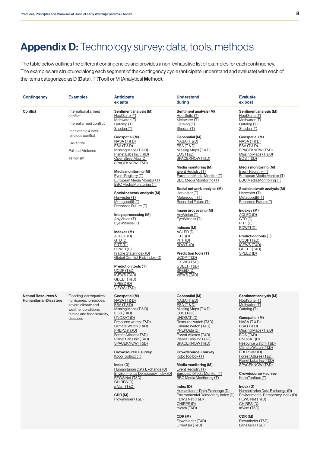# <span id="page-10-0"></span>Appendix D: Technology survey: data, tools, methods

The table below outlines the different contingencies and provides a non-exhaustive list of examples for each contingency. The examples are structured along each segment of the contingency cycle (anticipate, understand and evaluate) with each of the items categorized as D (Data), T (Tool) or M (Analytical Method).

| <b>Contingency</b>                                   | <b>Examples</b>                                                                                                                        | <b>Anticipate</b><br>ex ante                                                                                                                                                                                                                                                                                                                                                                                                                                                                                                                                                                                                        | <b>Understand</b><br>during                                                                                                                                                                                                                                                                                                                                                                                                                                                                                                               | <b>Evaluate</b><br>ex post                                                                                                                                                                                                                                                                                                                                                                                                                                                                            |
|------------------------------------------------------|----------------------------------------------------------------------------------------------------------------------------------------|-------------------------------------------------------------------------------------------------------------------------------------------------------------------------------------------------------------------------------------------------------------------------------------------------------------------------------------------------------------------------------------------------------------------------------------------------------------------------------------------------------------------------------------------------------------------------------------------------------------------------------------|-------------------------------------------------------------------------------------------------------------------------------------------------------------------------------------------------------------------------------------------------------------------------------------------------------------------------------------------------------------------------------------------------------------------------------------------------------------------------------------------------------------------------------------------|-------------------------------------------------------------------------------------------------------------------------------------------------------------------------------------------------------------------------------------------------------------------------------------------------------------------------------------------------------------------------------------------------------------------------------------------------------------------------------------------------------|
| Confiict                                             | International armed<br>conflict<br>Internal armed conflict<br>Inter-ethnic & inter-                                                    | Sentiment analysis (M)<br>HootSuite (T)<br>Meltwater (T)<br>Qatalog (T)<br>Shodan (T)                                                                                                                                                                                                                                                                                                                                                                                                                                                                                                                                               | Sentiment analysis (M)<br>HootSuite (T)<br>Meltwater (T)<br>Qatalog (T)<br>Shodan (T)                                                                                                                                                                                                                                                                                                                                                                                                                                                     | Sentiment analysis (M)<br>HootSuite (T)<br>Meltwater (T)<br>Qatalog (T)<br>Shodan (T)                                                                                                                                                                                                                                                                                                                                                                                                                 |
|                                                      | religious conflict<br><b>Civil Strife</b><br><b>Political Violence</b><br>Terrorism                                                    | Geospatial (M)<br>NASA (T & D)<br>ESA (T & D)<br>Missing Maps (T & D)<br>Planet Labs Inc (T&D)<br>OpenStreetMap (D)<br>SPACEKNOW (T&D)<br>Media monitoring (M)<br>Event Registry (T)<br>European Media Monitor (T)<br><b>BBC Media Monitoring (T)</b><br>Social network analysis (M)<br>Harvester (T)<br>Metagoodfil (T)<br>Recorded Future (T)<br>Image processing (M)<br>AnyVision (T)<br>EyeWitness (T)<br>Indexes (M)<br>ACLED (D)<br>GTD(D)<br>PITF(D)<br>RDWTI(D)<br>Fragile State Index (D)<br>Global Conflict Risk Index (D)<br>Prediction tools (T)<br>UCDP (T&D)<br>ICEWS (T&D)<br>GDELT (T&D)<br>SPEED(D)<br>VIEWS (T&D) | Geospatial (M)<br>NASA (T & D)<br>ESA (T & D)<br>Missing Maps (T & D)<br>EOS (T&D)<br>SPACEKNOW (T&D)<br>Media monitoring (M)<br>Event Registry (T)<br>European Media Monitor (T)<br>BBC Media Monitoring (T)<br>Social network analysis (M)<br>Harvester (T)<br>Metagoodfil (T)<br>Recorded Future (T)<br>Image processing (M)<br>AnvVision (T)<br>EyeWitness (T)<br>Indexes (M)<br>ACLED (D)<br>GTD(D)<br>PITF(D)<br>RDWTI(D)<br>Prediction tools (T)<br>UCDP (T&D)<br>ICEWS (T&D)<br>GDELT (T&D)<br>SPEED(D)<br>VIEWS (T&D)            | Geospatial (M)<br><u>NASA (T &amp; D)</u><br>ESA(T & D)<br>SPACEKNOW (T&D)<br>Missing Maps (T & D)<br>EOS (T&D)<br>Media monitoring (M)<br>Event Registry (T)<br>European Media Monitor (T)<br>BBC Media Monitoring (T)<br>Social network analysis (M)<br>Harvester (T)<br>Metagoodfil (T)<br>Recorded Future (T)<br>Indexes (M)<br>ACLED (D)<br>GTD(D)<br>PITE(D)<br>RDWTI(D)<br>Prediction tools (T)<br><b>UCDP (T&amp;D)</b><br>ICEWS (T&D)<br>GDELT (T&D)<br>SPEED(D)                             |
| Natural Resources &<br><b>Humanitarian Disasters</b> | Flooding, earthquakes,<br>hurricanes, tornadoes,<br>severe climate and<br>weather conditions,<br>famine and food scarcity,<br>diseases | Geospatial (M)<br>NASA (T & D)<br><u>ESA (T &amp; D)</u><br>Missing Maps (T & D)<br><b>EOS (T&amp;D)</b><br>UNOSAT (D)<br>Resource watch (T&D)<br>Climate Watch (T&D)<br>PREPData (D)<br>Forest Atlases (T&D)<br>Planet Labs Inc (T&D)<br>SPACEKNOW (T&D)<br>Crowdsource + survey<br>KoboToolbox (T)<br>Index(D)<br>Humanitarian Data Exchange (D)<br>Environmental Democracy Index (D)<br>FEWS Net (T&D)<br>CHIRPS (D)<br>mVam (T&D)<br>CDR(M)<br>Flowminder (T&D)                                                                                                                                                                 | Geospatial (M)<br>NASA (T & D)<br>ESA (T & D)<br>Missing Maps (T & D)<br><b>EOS (T&amp;D)</b><br>UNOSAT (D)<br>Resource watch (T&D)<br>Climate Watch (T&D)<br>PREPData (D)<br>Forest Atlases (T&D)<br>Planet Labs Inc (T&D)<br>SPACEKNOW (T&D)<br>Crowdsource + survey<br>KoboToolbox (T)<br>Media monitoring (M)<br>Event Registry (T)<br>European Media Monitor (T)<br><b>BBC Media Monitoring (T)</b><br>Index(D)<br>Humanitarian Data Exchange (D)<br>Environmental Democracy Index (D)<br>FEWS Net (T&D)<br>CHIRPS (D)<br>mVam (T&D) | Sentiment analysis (M)<br>HootSuite (T)<br>Meltwater (T)<br>Qatalog (T)<br>Geospatial (M)<br>NASA (T & D)<br><b>ESA (T &amp; D)</b><br>Missing Maps (T & D)<br>EOS (T&D)<br>UNOSAT (D)<br>Resource watch (T&D)<br>Climate Watch (T&D)<br>PREPData (D)<br>Forest Atlases (T&D)<br>Planet Labs Inc (T&D)<br>SPACEKNOW (T&D)<br>Crowdsource + survey<br>KoboToolbox (T)<br>Index(D)<br>Humanitarian Data Exchange (D)<br>Environmental Democracy Index (D)<br>FEWS Net (T&D)<br>CHIRPS (D)<br>mVam (T&D) |

CDR (M) [Flowminder \(T&D\)](https://web.flowminder.org/) [LirneAsia \(T&D\)](https://lirneasia.net/)

CDR (M) [Flowminder \(T&D\)](https://web.flowminder.org/) [LirneAsia \(T&D\)](https://lirneasia.net/)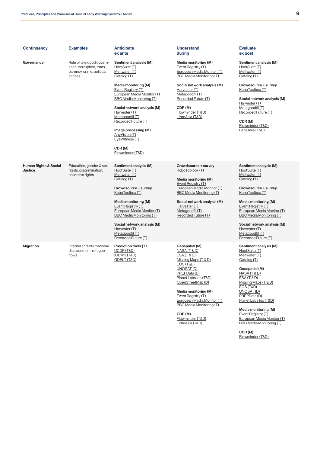| Contingency                                 | <b>Examples</b>                                                                              | <b>Anticipate</b><br>ex ante                                                                                                                                                                                                                                                                                                | <b>Understand</b><br>during                                                                                                                                                                                                                      | <b>Evaluate</b><br>ex post                                                                                                                                                                                                                                                                                                  |
|---------------------------------------------|----------------------------------------------------------------------------------------------|-----------------------------------------------------------------------------------------------------------------------------------------------------------------------------------------------------------------------------------------------------------------------------------------------------------------------------|--------------------------------------------------------------------------------------------------------------------------------------------------------------------------------------------------------------------------------------------------|-----------------------------------------------------------------------------------------------------------------------------------------------------------------------------------------------------------------------------------------------------------------------------------------------------------------------------|
| Governance                                  | Rule of law, good govern-<br>ance, corruption, trans-<br>parency, crime, political<br>access | Sentiment analysis (M)<br>HootSuite (T)<br>Meltwater (T)<br>Qatalog (T)                                                                                                                                                                                                                                                     | Media monitoring (M)<br>Event Registry (T)<br>European Media Monitor (T)<br>BBC Media Monitoring (T)                                                                                                                                             | Sentiment analysis (M)<br>HootSuite (T)<br>Meltwater (T)<br>Qatalog (T)                                                                                                                                                                                                                                                     |
|                                             |                                                                                              | Media monitoring (M)<br>Event Registry (T)<br>European Media Monitor (T)<br><b>BBC Media Monitoring (T)</b><br>Social network analysis (M)<br>Harvester (T)<br>Metagoodfil (T)<br>Recorded Future (T)<br>Image processing (M)<br>AnyVision (T)<br>EyeWitness (T)<br>CDR(M)<br>Flowminder (T&D)                              | Social network analysis (M)<br>Harvester (T)<br>Metagoodfil (T)<br>Recorded Future (T)<br>CDR(M)<br>Flowminder (T&D)<br>LirneAsia (T&D)                                                                                                          | Crowdsource + survey<br>KoboToolbox (T)<br>Social network analysis (M)<br>Harvester (T)<br>Metagoodfil (T)<br>Recorded Future (T)<br>CDR(M)<br>Flowminder (T&D)<br>LirneAsia (T&D)                                                                                                                                          |
| <b>Human Rights &amp; Social</b><br>Justice | Education, gender & sex<br>rights, discrimination,<br>children's rights                      | Sentiment analysis (M)<br>HootSuite (T)<br>Meltwater (T)<br>Qatalog (T)<br>Crowdsource + survey<br>KoboToolbox (T)<br>Media monitoring (M)<br>Event Registry (T)<br>European Media Monitor (T)<br><b>BBC Media Monitoring (T)</b><br>Social network analysis (M)<br>Harvester (T)<br>Metagoodfil (T)<br>Recorded Future (T) | Crowdsource + survey<br>KoboToolbox (T)<br>Media monitoring (M)<br>Event Registry (T)<br>European Media Monitor (T)<br><b>BBC Media Monitoring (T)</b><br>Social network analysis (M)<br>Harvester (T)<br>Metagoodfil (T)<br>Recorded Future (T) | Sentiment analysis (M)<br>HootSuite (T)<br>Meltwater (T)<br>Qatalog (T)<br>Crowdsource + survey<br>KoboToolbox (T)<br>Media monitoring (M)<br>Event Registry (T)<br>European Media Monitor (T)<br><b>BBC Media Monitoring (T)</b><br>Social network analysis (M)<br>Harvester (T)<br>Metagoodfil (T)<br>Recorded Future (T) |
| <b>Migration</b>                            | Internal and international<br>displacement, refugee<br>flows                                 | Prediction tools (T)<br>UCDP (T&D)<br>ICEWS (T&D)<br>GDELT (T&D)                                                                                                                                                                                                                                                            | Geospatial (M)<br>NASA (T & D)<br>ESA (T & D)<br>Missing Maps (T & D)<br>EOS (T&D)<br>UNOSAT (D)<br>PREPData (D)                                                                                                                                 | Sentiment analysis (M)<br>HootSuite (T)<br>Meltwater (T)<br>Qatalog (T)<br>Geospatial (M)<br>NASA (T & D)                                                                                                                                                                                                                   |

[Planet Labs Inc \(T&D\)](https://www.planet.com/) [OpenStreetMap \(D\)](https://www.openstreetmap.org) Media monitoring (M) [Event Registry \(T\)](https://eventregistry.org/) [European Media Monitor \(T\)](https://emm.newsbrief.eu/overview.html) [BBC Media Monitoring \(T\)](https://monitoring.bbc.co.uk/)

[ESA \(T & D\)](https://earth.esa.int/web/guest/data-access) [Missing Maps \(T & D\)](https://www.missingmaps.org/) [EOS \(T&D\)](https://eos.com) [UNOSAT \(D\)](https://unitar.org/maps/live-maps) [PREPData \(D\)](https://prepdata.org/) [Planet Labs Inc \(T&D\)](https://www.planet.com/) Media monitoring (M) [Event Registry \(T\)](https://eventregistry.org/) [European Media Monitor \(T\)](https://emm.newsbrief.eu/overview.html) [BBC Media Monitoring \(T\)](https://monitoring.bbc.co.uk/)

CDR (M) [Flowminder \(T&D\)](https://web.flowminder.org/)

CDR (M) [Flowminder \(T&D\)](https://web.flowminder.org/) [LirneAsia \(T&D\)](https://lirneasia.net/)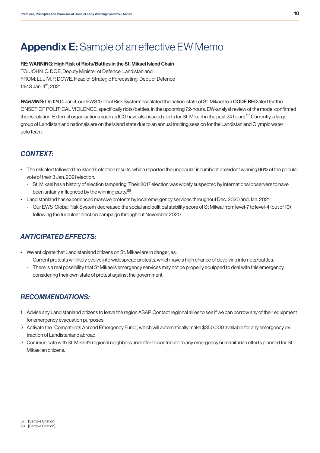# <span id="page-12-0"></span>Appendix E: Sample of an effective EW Memo

#### RE: WARNING: High Risk of Riots/Battles in the St. Mikael Island Chain

TO: JOHN. Q. DOE, Deputy Minister of Defence, Landistanland FROM: Lt. JIM. P. DOWE, Head of Strategic Forecasting, Dept. of Defence 14:43 Jan. 4th, 2021.

*WARNING:* On 12:04 Jan 4, our EWS 'Global Risk System' escalated the nation-state of St. Mikael to a CODE RED alert for the ONSET OF POLITICAL VIOLENCE, specifically riots/battles, in the upcoming 72-hours. EW-analyst review of the model confirmed the escalation. External organisations such as ICG have also issued alerts for St. Mikael in the past 24 hours.<sup>57</sup> Currently, a large group of Landistanland nationals are on the island state due to an annual training session for the Landistanland Olympic water polo team.

### *CONTEXT:*

- The risk alert followed the island's election results, which reported the unpopular incumbent president winning 96% of the popular vote of their 3 Jan. 2021 election.
	- St. Mikael has a history of election tampering. Their 2017 election was widely suspected by international observers to have been unfairly influenced by the winning party.<sup>58</sup>
- Landistanland has experienced massive protests by local emergency services throughout Dec. 2020 and Jan. 2021.
	- Our EWS 'Global Risk System' decreased the social and political stability score of St Mikeal from level-7 to level-4 (out of 10) following the turbulent election campaign throughout November 2020.

### *ANTICIPATED EFFECTS:*

- We anticipate that Landistanland citizens on St. Mikael are in danger, as:
	- Current protests will likely evolve into widespread protests, which have a high chance of devolving into riots/battles.
	- There is a real possibility that St Mikael's emergency services may not be properly equipped to deal with this emergency, considering their own state of protest against the government.

#### *RECOMMENDATIONS:*

- 1. Advise any Landistanland citizens to leave the region ASAP. Contact regional allies to see if we can borrow any of their equipment for emergency evacuation purposes.
- 2. Activate the "Compatriots Abroad Emergency Fund", which will automatically make \$350,000 available for any emergency extraction of Landistanland abroad.
- 3. Communicate with St. Mikael's regional neighbors and offer to contribute to any emergency humanitarian efforts planned for St. Mikaelian citizens.